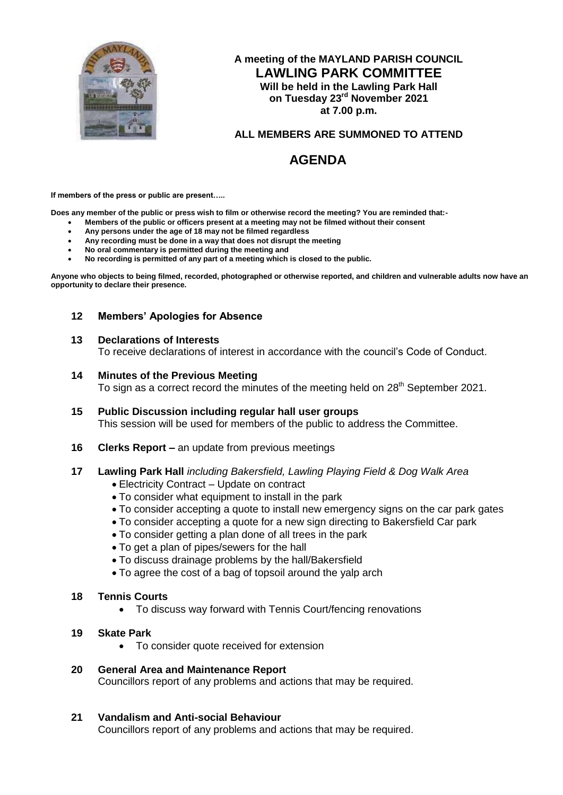

# **A meeting of the MAYLAND PARISH COUNCIL LAWLING PARK COMMITTEE Will be held in the Lawling Park Hall on Tuesday 23rd November 2021 at 7.00 p.m.**

# **ALL MEMBERS ARE SUMMONED TO ATTEND**

# **AGENDA**

**If members of the press or public are present…..**

**Does any member of the public or press wish to film or otherwise record the meeting? You are reminded that:-**

- **Members of the public or officers present at a meeting may not be filmed without their consent**
- **Any persons under the age of 18 may not be filmed regardless**
- **Any recording must be done in a way that does not disrupt the meeting**
- **No oral commentary is permitted during the meeting and**
- **No recording is permitted of any part of a meeting which is closed to the public.**

**Anyone who objects to being filmed, recorded, photographed or otherwise reported, and children and vulnerable adults now have an opportunity to declare their presence.**

## **12 Members' Apologies for Absence**

#### **13 Declarations of Interests**

To receive declarations of interest in accordance with the council's Code of Conduct.

#### **14 Minutes of the Previous Meeting**

To sign as a correct record the minutes of the meeting held on 28<sup>th</sup> September 2021.

- **15 Public Discussion including regular hall user groups** This session will be used for members of the public to address the Committee.
- **16 Clerks Report –** an update from previous meetings
- **17 Lawling Park Hall** *including Bakersfield, Lawling Playing Field & Dog Walk Area*
	- Electricity Contract Update on contract
	- To consider what equipment to install in the park
	- To consider accepting a quote to install new emergency signs on the car park gates
	- To consider accepting a quote for a new sign directing to Bakersfield Car park
	- To consider getting a plan done of all trees in the park
	- To get a plan of pipes/sewers for the hall
	- To discuss drainage problems by the hall/Bakersfield
	- To agree the cost of a bag of topsoil around the yalp arch
- **18 Tennis Courts**
	- To discuss way forward with Tennis Court/fencing renovations
- **19 Skate Park**
	- To consider quote received for extension

## **20 General Area and Maintenance Report**

Councillors report of any problems and actions that may be required.

## **21 Vandalism and Anti-social Behaviour**

Councillors report of any problems and actions that may be required.